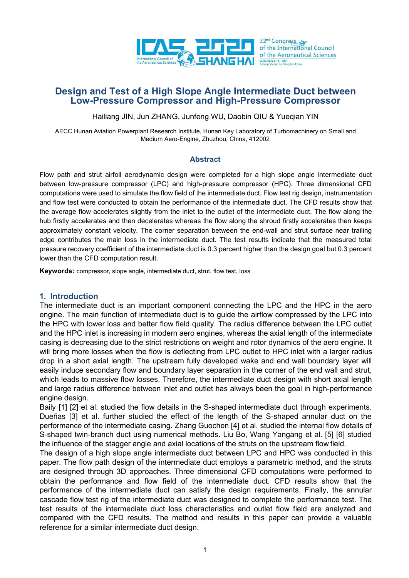

# **Design and Test of a High Slope Angle Intermediate Duct between Low-Pressure Compressor and High-Pressure Compressor**

Hailiang JIN, Jun ZHANG, Junfeng WU, Daobin QIU & Yueqian YIN

AECC Hunan Aviation Powerplant Research Institute, Hunan Key Laboratory of Turbomachinery on Small and Medium Aero-Engine, Zhuzhou, China, 412002

### **Abstract**

Flow path and strut airfoil aerodynamic design were completed for a high slope angle intermediate duct between low-pressure compressor (LPC) and high-pressure compressor (HPC). Three dimensional CFD computations were used to simulate the flow field of the intermediate duct. Flow test rig design, instrumentation and flow test were conducted to obtain the performance of the intermediate duct. The CFD results show that the average flow accelerates slightly from the inlet to the outlet of the intermediate duct. The flow along the hub firstly accelerates and then decelerates whereas the flow along the shroud firstly accelerates then keeps approximately constant velocity. The corner separation between the end-wall and strut surface near trailing edge contributes the main loss in the intermediate duct. The test results indicate that the measured total pressure recovery coefficient of the intermediate duct is 0.3 percent higher than the design goal but 0.3 percent lower than the CFD computation result.

**Keywords:** compressor, slope angle, intermediate duct, strut, flow test, loss

### **1. Introduction**

The intermediate duct is an important component connecting the LPC and the HPC in the aero engine. The main function of intermediate duct is to guide the airflow compressed by the LPC into the HPC with lower loss and better flow field quality. The radius difference between the LPC outlet and the HPC inlet is increasing in modern aero engines, whereas the axial length of the intermediate casing is decreasing due to the strict restrictions on weight and rotor dynamics of the aero engine. It will bring more losses when the flow is deflecting from LPC outlet to HPC inlet with a larger radius drop in a short axial length. The upstream fully developed wake and end wall boundary layer will easily induce secondary flow and boundary layer separation in the corner of the end wall and strut, which leads to massive flow losses. Therefore, the intermediate duct design with short axial length and large radius difference between inlet and outlet has always been the goal in high-performance engine design.

Baily [1] [2] et al. studied the flow details in the S-shaped intermediate duct through experiments. Dueñas [3] et al. further studied the effect of the length of the S-shaped annular duct on the performance of the intermediate casing. Zhang Guochen [4] et al. studied the internal flow details of S-shaped twin-branch duct using numerical methods. Liu Bo, Wang Yangang et al. [5] [6] studied the influence of the stagger angle and axial locations of the struts on the upstream flow field.

The design of a high slope angle intermediate duct between LPC and HPC was conducted in this paper. The flow path design of the intermediate duct employs a parametric method, and the struts are designed through 3D approaches. Three dimensional CFD computations were performed to obtain the performance and flow field of the intermediate duct. CFD results show that the performance of the intermediate duct can satisfy the design requirements. Finally, the annular cascade flow test rig of the intermediate duct was designed to complete the performance test. The test results of the intermediate duct loss characteristics and outlet flow field are analyzed and compared with the CFD results. The method and results in this paper can provide a valuable reference for a similar intermediate duct design.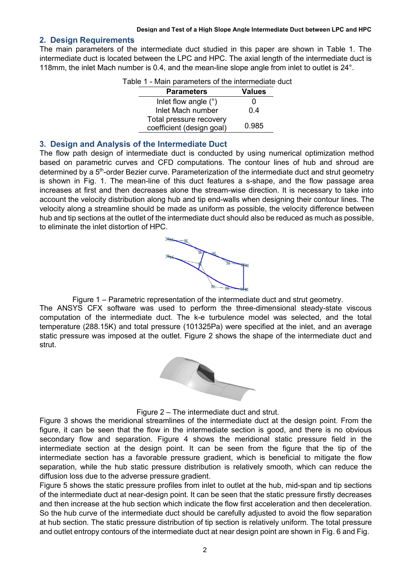### **2. Design Requirements**

The main parameters of the intermediate duct studied in this paper are shown in Table 1. The intermediate duct is located between the LPC and HPC. The axial length of the intermediate duct is 118mm, the inlet Mach number is 0.4, and the mean-line slope angle from inlet to outlet is 24°.

| Table 1 - Main parameters of the intermediate duct   |               |
|------------------------------------------------------|---------------|
| <b>Parameters</b>                                    | <b>Values</b> |
| Inlet flow angle $(°)$                               |               |
| Inlet Mach number                                    | 0.4           |
| Total pressure recovery<br>coefficient (design goal) | 0.985         |

### **3. Design and Analysis of the Intermediate Duct**

The flow path design of intermediate duct is conducted by using numerical optimization method based on parametric curves and CFD computations. The contour lines of hub and shroud are determined by a 5<sup>th</sup>-order Bezier curve. Parameterization of the intermediate duct and strut geometry is shown in Fig. 1. The mean-line of this duct features a s-shape, and the flow passage area increases at first and then decreases alone the stream-wise direction. It is necessary to take into account the velocity distribution along hub and tip end-walls when designing their contour lines. The velocity along a streamline should be made as uniform as possible, the velocity difference between hub and tip sections at the outlet of the intermediate duct should also be reduced as much as possible, to eliminate the inlet distortion of HPC.



Figure 1 – Parametric representation of the intermediate duct and strut geometry. The ANSYS CFX software was used to perform the three-dimensional steady-state viscous computation of the intermediate duct. The k-e turbulence model was selected, and the total temperature (288.15K) and total pressure (101325Pa) were specified at the inlet, and an average static pressure was imposed at the outlet. Figure 2 shows the shape of the intermediate duct and strut.



Figure 2 – The intermediate duct and strut.

Figure 3 shows the meridional streamlines of the intermediate duct at the design point. From the figure, it can be seen that the flow in the intermediate section is good, and there is no obvious secondary flow and separation. Figure 4 shows the meridional static pressure field in the intermediate section at the design point. It can be seen from the figure that the tip of the intermediate section has a favorable pressure gradient, which is beneficial to mitigate the flow separation, while the hub static pressure distribution is relatively smooth, which can reduce the diffusion loss due to the adverse pressure gradient.

Figure 5 shows the static pressure profiles from inlet to outlet at the hub, mid-span and tip sections of the intermediate duct at near-design point. It can be seen that the static pressure firstly decreases and then increase at the hub section which indicate the flow first acceleration and then deceleration. So the hub curve of the intermediate duct should be carefully adjusted to avoid the flow separation at hub section. The static pressure distribution of tip section is relatively uniform. The total pressure and outlet entropy contours of the intermediate duct at near design point are shown in Fig. 6 and Fig.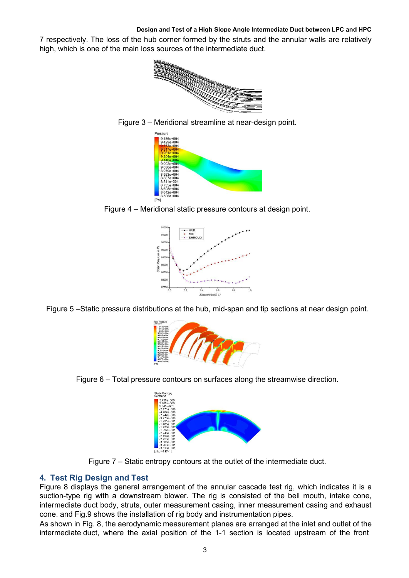7 respectively. The loss of the hub corner formed by the struts and the annular walls are relatively high, which is one of the main loss sources of the intermediate duct.











Figure 5 –Static pressure distributions at the hub, mid-span and tip sections at near design point.



Figure 6 – Total pressure contours on surfaces along the streamwise direction.



Figure 7 – Static entropy contours at the outlet of the intermediate duct.

# **4. Test Rig Design and Test**

Figure 8 displays the general arrangement of the annular cascade test rig, which indicates it is a suction-type rig with a downstream blower. The rig is consisted of the bell mouth, intake cone, intermediate duct body, struts, outer measurement casing, inner measurement casing and exhaust cone. and Fig.9 shows the installation of rig body and instrumentation pipes.

As shown in Fig. 8, the aerodynamic measurement planes are arranged at the inlet and outlet of the intermediate duct, where the axial position of the 1-1 section is located upstream of the front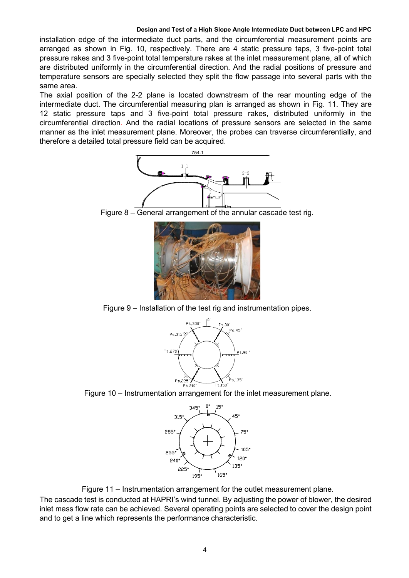installation edge of the intermediate duct parts, and the circumferential measurement points are arranged as shown in Fig. 10, respectively. There are 4 static pressure taps, 3 five-point total pressure rakes and 3 five-point total temperature rakes at the inlet measurement plane, all of which are distributed uniformly in the circumferential direction. And the radial positions of pressure and temperature sensors are specially selected they split the flow passage into several parts with the same area.

The axial position of the 2-2 plane is located downstream of the rear mounting edge of the intermediate duct. The circumferential measuring plan is arranged as shown in Fig. 11. They are 12 static pressure taps and 3 five-point total pressure rakes, distributed uniformly in the circumferential direction. And the radial locations of pressure sensors are selected in the same manner as the inlet measurement plane. Moreover, the probes can traverse circumferentially, and therefore a detailed total pressure field can be acquired.



Figure 8 – General arrangement of the annular cascade test rig.



Figure 9 – Installation of the test rig and instrumentation pipes.



Figure 10 – Instrumentation arrangement for the inlet measurement plane.



Figure 11 – Instrumentation arrangement for the outlet measurement plane.

The cascade test is conducted at HAPRI's wind tunnel. By adjusting the power of blower, the desired inlet mass flow rate can be achieved. Several operating points are selected to cover the design point and to get a line which represents the performance characteristic.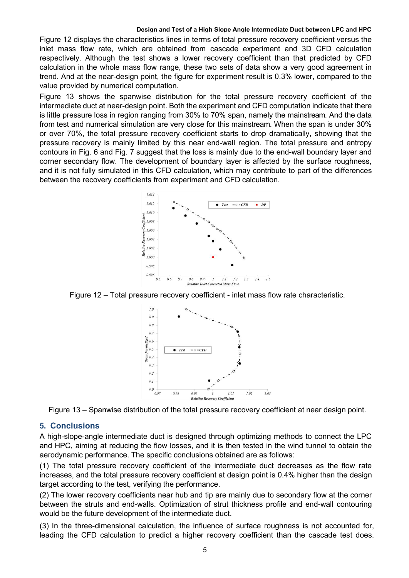Figure 12 displays the characteristics lines in terms of total pressure recovery coefficient versus the inlet mass flow rate, which are obtained from cascade experiment and 3D CFD calculation respectively. Although the test shows a lower recovery coefficient than that predicted by CFD calculation in the whole mass flow range, these two sets of data show a very good agreement in trend. And at the near-design point, the figure for experiment result is 0.3% lower, compared to the value provided by numerical computation.

Figure 13 shows the spanwise distribution for the total pressure recovery coefficient of the intermediate duct at near-design point. Both the experiment and CFD computation indicate that there is little pressure loss in region ranging from 30% to 70% span, namely the mainstream. And the data from test and numerical simulation are very close for this mainstream. When the span is under 30% or over 70%, the total pressure recovery coefficient starts to drop dramatically, showing that the pressure recovery is mainly limited by this near end-wall region. The total pressure and entropy contours in Fig. 6 and Fig. 7 suggest that the loss is mainly due to the end-wall boundary layer and corner secondary flow. The development of boundary layer is affected by the surface roughness,<br>and it is not fully simulated in this CFD calculation, which may contribute to part of the differences between the recovery coefficients from experiment and CFD calculation.



Figure 12 – Total pressure recovery coefficient - inlet mass flow rate characteristic.



Figure 13 – Spanwise distribution of the total pressure recovery coefficient at near design point.

### **5. Conclusions**

A high-slope-angle intermediate duct is designed through optimizing methods to connect the LPC and HPC, aiming at reducing the flow losses, and it is then tested in the wind tunnel to obtain the aerodynamic performance. The specific conclusions obtained are as follows:

(1) The total pressure recovery coefficient of the intermediate duct decreases as the flow rate increases, and the total pressure recovery coefficient at design point is 0.4% higher than the design target according to the test, verifying the performance.

(2) The lower recovery coefficients near hub and tip are mainly due to secondary flow at the corner between the struts and end-walls. Optimization of strut thickness profile and end-wall contouring would be the future development of the intermediate duct.

(3) In the three-dimensional calculation, the influence of surface roughness is not accounted for, leading the CFD calculation to predict a higher recovery coefficient than the cascade test does.